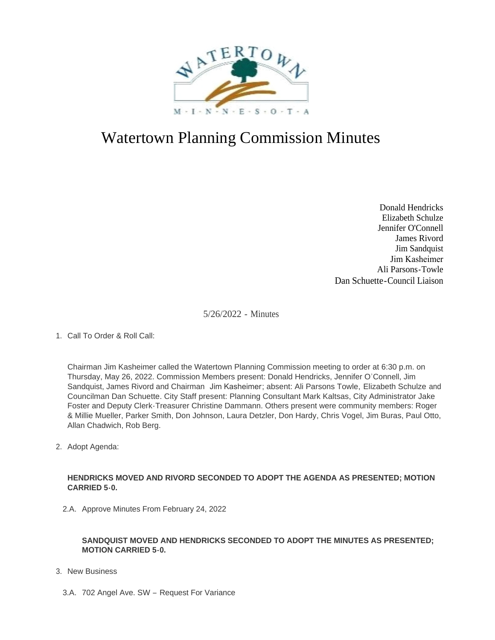

# Watertown Planning Commission Minutes

Donald Hendricks Elizabeth Schulze Jennifer O'Connell James Rivord Jim Sandquist Jim Kasheimer Ali Parsons-Towle Dan Schuette-Council Liaison

5/26/2022 - Minutes

# 1. Call To Order & Roll Call:

Chairman Jim Kasheimer called the Watertown Planning Commission meeting to order at 6:30 p.m. on Thursday, May 26, 2022. Commission Members present: Donald Hendricks, Jennifer O'Connell, Jim Sandquist, James Rivord and Chairman Jim Kasheimer; absent: Ali Parsons Towle, Elizabeth Schulze and Councilman Dan Schuette. City Staff present: Planning Consultant Mark Kaltsas, City Administrator Jake Foster and Deputy Clerk-Treasurer Christine Dammann. Others present were community members: Roger & Millie Mueller, Parker Smith, Don Johnson, Laura Detzler, Don Hardy, Chris Vogel, Jim Buras, Paul Otto, Allan Chadwich, Rob Berg.

2. Adopt Agenda:

#### **HENDRICKS MOVED AND RIVORD SECONDED TO ADOPT THE AGENDA AS PRESENTED; MOTION CARRIED 5-0.**

2.A. Approve Minutes From February 24, 2022

## **SANDQUIST MOVED AND HENDRICKS SECONDED TO ADOPT THE MINUTES AS PRESENTED; MOTION CARRIED 5-0.**

- 3. New Business
	- 3.A. 702 Angel Ave. SW Request For Variance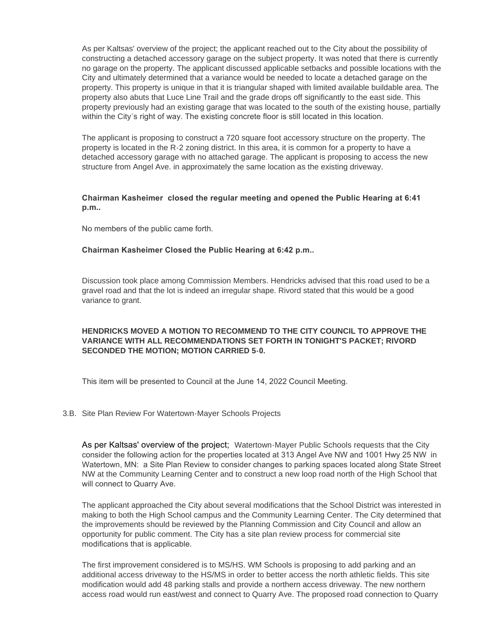As per Kaltsas' overview of the project; the applicant reached out to the City about the possibility of constructing a detached accessory garage on the subject property. It was noted that there is currently no garage on the property. The applicant discussed applicable setbacks and possible locations with the City and ultimately determined that a variance would be needed to locate a detached garage on the property. This property is unique in that it is triangular shaped with limited available buildable area. The property also abuts that Luce Line Trail and the grade drops off significantly to the east side. This property previously had an existing garage that was located to the south of the existing house, partially within the City's right of way. The existing concrete floor is still located in this location.

The applicant is proposing to construct a 720 square foot accessory structure on the property. The property is located in the R-2 zoning district. In this area, it is common for a property to have a detached accessory garage with no attached garage. The applicant is proposing to access the new structure from Angel Ave. in approximately the same location as the existing driveway.

## **Chairman Kasheimer closed the regular meeting and opened the Public Hearing at 6:41 p.m..**

No members of the public came forth.

#### **Chairman Kasheimer Closed the Public Hearing at 6:42 p.m..**

Discussion took place among Commission Members. Hendricks advised that this road used to be a gravel road and that the lot is indeed an irregular shape. Rivord stated that this would be a good variance to grant.

# **HENDRICKS MOVED A MOTION TO RECOMMEND TO THE CITY COUNCIL TO APPROVE THE VARIANCE WITH ALL RECOMMENDATIONS SET FORTH IN TONIGHT'S PACKET; RIVORD SECONDED THE MOTION; MOTION CARRIED 5-0.**

This item will be presented to Council at the June 14, 2022 Council Meeting.

#### 3.B. Site Plan Review For Watertown-Mayer Schools Projects

As per Kaltsas' overview of the project; Watertown-Mayer Public Schools requests that the City consider the following action for the properties located at 313 Angel Ave NW and 1001 Hwy 25 NW in Watertown, MN: a Site Plan Review to consider changes to parking spaces located along State Street NW at the Community Learning Center and to construct a new loop road north of the High School that will connect to Quarry Ave.

The applicant approached the City about several modifications that the School District was interested in making to both the High School campus and the Community Learning Center. The City determined that the improvements should be reviewed by the Planning Commission and City Council and allow an opportunity for public comment. The City has a site plan review process for commercial site modifications that is applicable.

The first improvement considered is to MS/HS. WM Schools is proposing to add parking and an additional access driveway to the HS/MS in order to better access the north athletic fields. This site modification would add 48 parking stalls and provide a northern access driveway. The new northern access road would run east/west and connect to Quarry Ave. The proposed road connection to Quarry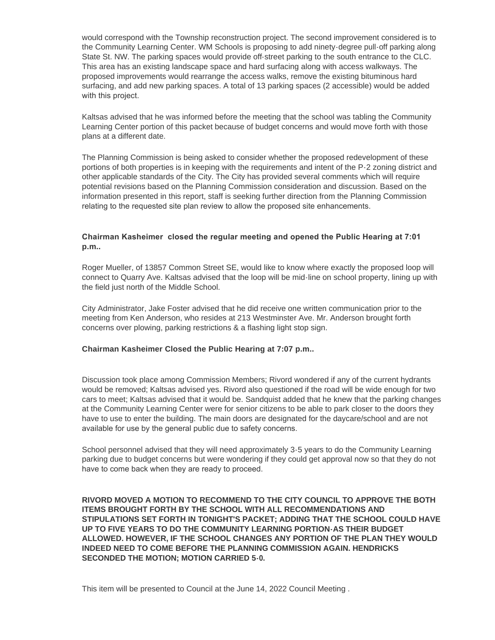would correspond with the Township reconstruction project. The second improvement considered is to the Community Learning Center. WM Schools is proposing to add ninety-degree pull-off parking along State St. NW. The parking spaces would provide off-street parking to the south entrance to the CLC. This area has an existing landscape space and hard surfacing along with access walkways. The proposed improvements would rearrange the access walks, remove the existing bituminous hard surfacing, and add new parking spaces. A total of 13 parking spaces (2 accessible) would be added with this project.

Kaltsas advised that he was informed before the meeting that the school was tabling the Community Learning Center portion of this packet because of budget concerns and would move forth with those plans at a different date.

The Planning Commission is being asked to consider whether the proposed redevelopment of these portions of both properties is in keeping with the requirements and intent of the P-2 zoning district and other applicable standards of the City. The City has provided several comments which will require potential revisions based on the Planning Commission consideration and discussion. Based on the information presented in this report, staff is seeking further direction from the Planning Commission relating to the requested site plan review to allow the proposed site enhancements.

## **Chairman Kasheimer closed the regular meeting and opened the Public Hearing at 7:01 p.m..**

Roger Mueller, of 13857 Common Street SE, would like to know where exactly the proposed loop will connect to Quarry Ave. Kaltsas advised that the loop will be mid-line on school property, lining up with the field just north of the Middle School.

City Administrator, Jake Foster advised that he did receive one written communication prior to the meeting from Ken Anderson, who resides at 213 Westminster Ave. Mr. Anderson brought forth concerns over plowing, parking restrictions & a flashing light stop sign.

#### **Chairman Kasheimer Closed the Public Hearing at 7:07 p.m..**

Discussion took place among Commission Members; Rivord wondered if any of the current hydrants would be removed; Kaltsas advised yes. Rivord also questioned if the road will be wide enough for two cars to meet; Kaltsas advised that it would be. Sandquist added that he knew that the parking changes at the Community Learning Center were for senior citizens to be able to park closer to the doors they have to use to enter the building. The main doors are designated for the daycare/school and are not available for use by the general public due to safety concerns.

School personnel advised that they will need approximately 3-5 years to do the Community Learning parking due to budget concerns but were wondering if they could get approval now so that they do not have to come back when they are ready to proceed.

**RIVORD MOVED A MOTION TO RECOMMEND TO THE CITY COUNCIL TO APPROVE THE BOTH ITEMS BROUGHT FORTH BY THE SCHOOL WITH ALL RECOMMENDATIONS AND STIPULATIONS SET FORTH IN TONIGHT'S PACKET; ADDING THAT THE SCHOOL COULD HAVE UP TO FIVE YEARS TO DO THE COMMUNITY LEARNING PORTION-AS THEIR BUDGET ALLOWED. HOWEVER, IF THE SCHOOL CHANGES ANY PORTION OF THE PLAN THEY WOULD INDEED NEED TO COME BEFORE THE PLANNING COMMISSION AGAIN. HENDRICKS SECONDED THE MOTION; MOTION CARRIED 5-0.**

This item will be presented to Council at the June 14, 2022 Council Meeting .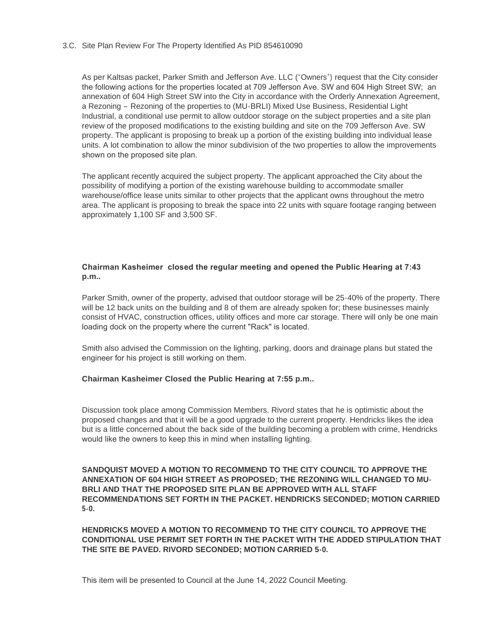#### Site Plan Review For The Property Identified As PID 854610090 3.C.

As per Kaltsas packet, Parker Smith and Jefferson Ave. LLC ("Owners") request that the City consider the following actions for the properties located at 709 Jefferson Ave. SW and 604 High Street SW; an annexation of 604 High Street SW into the City in accordance with the Orderly Annexation Agreement, a Rezoning – Rezoning of the properties to (MU-BRLI) Mixed Use Business, Residential Light Industrial, a conditional use permit to allow outdoor storage on the subject properties and a site plan review of the proposed modifications to the existing building and site on the 709 Jefferson Ave. SW property. The applicant is proposing to break up a portion of the existing building into individual lease units. A lot combination to allow the minor subdivision of the two properties to allow the improvements shown on the proposed site plan.

The applicant recently acquired the subject property. The applicant approached the City about the possibility of modifying a portion of the existing warehouse building to accommodate smaller warehouse/office lease units similar to other projects that the applicant owns throughout the metro area. The applicant is proposing to break the space into 22 units with square footage ranging between approximately 1,100 SF and 3,500 SF.

## **Chairman Kasheimer closed the regular meeting and opened the Public Hearing at 7:43 p.m..**

Parker Smith, owner of the property, advised that outdoor storage will be 25-40% of the property. There will be 12 back units on the building and 8 of them are already spoken for; these businesses mainly consist of HVAC, construction offices, utility offices and more car storage. There will only be one main loading dock on the property where the current "Rack" is located.

Smith also advised the Commission on the lighting, parking, doors and drainage plans but stated the engineer for his project is still working on them.

#### **Chairman Kasheimer Closed the Public Hearing at 7:55 p.m..**

Discussion took place among Commission Members. Rivord states that he is optimistic about the proposed changes and that it will be a good upgrade to the current property. Hendricks likes the idea but is a little concerned about the back side of the building becoming a problem with crime, Hendricks would like the owners to keep this in mind when installing lighting.

**SANDQUIST MOVED A MOTION TO RECOMMEND TO THE CITY COUNCIL TO APPROVE THE ANNEXATION OF 604 HIGH STREET AS PROPOSED; THE REZONING WILL CHANGED TO MU-BRLI AND THAT THE PROPOSED SITE PLAN BE APPROVED WITH ALL STAFF RECOMMENDATIONS SET FORTH IN THE PACKET. HENDRICKS SECONDED; MOTION CARRIED 5-0.**

**HENDRICKS MOVED A MOTION TO RECOMMEND TO THE CITY COUNCIL TO APPROVE THE CONDITIONAL USE PERMIT SET FORTH IN THE PACKET WITH THE ADDED STIPULATION THAT THE SITE BE PAVED. RIVORD SECONDED; MOTION CARRIED 5-0.**

This item will be presented to Council at the June 14, 2022 Council Meeting.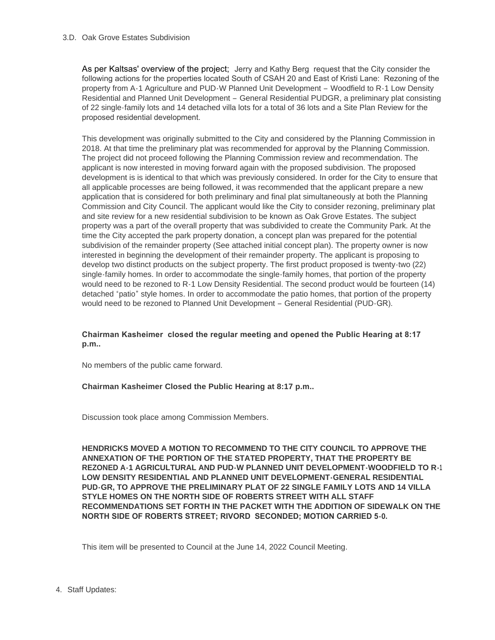As per Kaltsas' overview of the project; Jerry and Kathy Berg request that the City consider the following actions for the properties located South of CSAH 20 and East of Kristi Lane: Rezoning of the property from A-1 Agriculture and PUD-W Planned Unit Development – Woodfield to R-1 Low Density Residential and Planned Unit Development – General Residential PUDGR, a preliminary plat consisting of 22 single-family lots and 14 detached villa lots for a total of 36 lots and a Site Plan Review for the proposed residential development.

This development was originally submitted to the City and considered by the Planning Commission in 2018. At that time the preliminary plat was recommended for approval by the Planning Commission. The project did not proceed following the Planning Commission review and recommendation. The applicant is now interested in moving forward again with the proposed subdivision. The proposed development is is identical to that which was previously considered. In order for the City to ensure that all applicable processes are being followed, it was recommended that the applicant prepare a new application that is considered for both preliminary and final plat simultaneously at both the Planning Commission and City Council. The applicant would like the City to consider rezoning, preliminary plat and site review for a new residential subdivision to be known as Oak Grove Estates. The subject property was a part of the overall property that was subdivided to create the Community Park. At the time the City accepted the park property donation, a concept plan was prepared for the potential subdivision of the remainder property (See attached initial concept plan). The property owner is now interested in beginning the development of their remainder property. The applicant is proposing to develop two distinct products on the subject property. The first product proposed is twenty-two (22) single-family homes. In order to accommodate the single-family homes, that portion of the property would need to be rezoned to R-1 Low Density Residential. The second product would be fourteen (14) detached "patio" style homes. In order to accommodate the patio homes, that portion of the property would need to be rezoned to Planned Unit Development – General Residential (PUD-GR).

# **Chairman Kasheimer closed the regular meeting and opened the Public Hearing at 8:17 p.m..**

No members of the public came forward.

# **Chairman Kasheimer Closed the Public Hearing at 8:17 p.m..**

Discussion took place among Commission Members.

**HENDRICKS MOVED A MOTION TO RECOMMEND TO THE CITY COUNCIL TO APPROVE THE ANNEXATION OF THE PORTION OF THE STATED PROPERTY, THAT THE PROPERTY BE REZONED A-1 AGRICULTURAL AND PUD-W PLANNED UNIT DEVELOPMENT-WOODFIELD TO R-1 LOW DENSITY RESIDENTIAL AND PLANNED UNIT DEVELOPMENT-GENERAL RESIDENTIAL PUD-GR, TO APPROVE THE PRELIMINARY PLAT OF 22 SINGLE FAMILY LOTS AND 14 VILLA STYLE HOMES ON THE NORTH SIDE OF ROBERTS STREET WITH ALL STAFF RECOMMENDATIONS SET FORTH IN THE PACKET WITH THE ADDITION OF SIDEWALK ON THE NORTH SIDE OF ROBERTS STREET; RIVORD SECONDED; MOTION CARRIED 5-0.**

This item will be presented to Council at the June 14, 2022 Council Meeting.

4. Staff Updates: